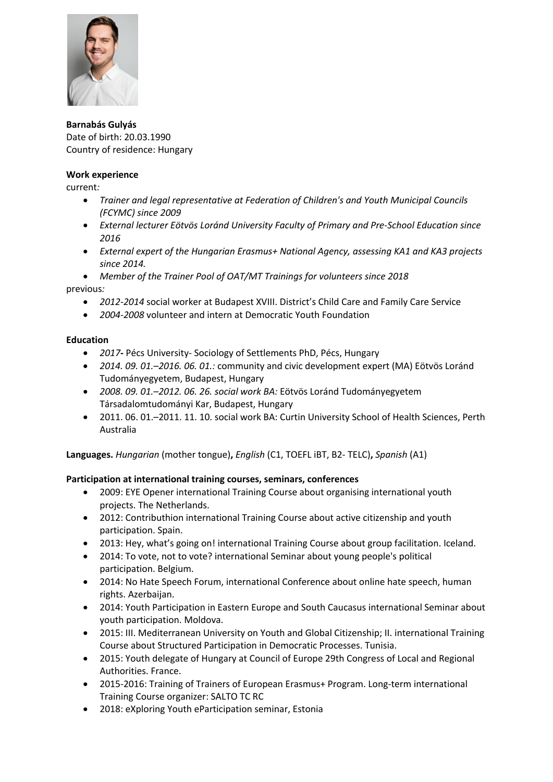

**Barnabás Gulyás** Date of birth: 20.03.1990 Country of residence: Hungary

## **Work experience**

current*:* 

- *Trainer and legal representative at Federation of Children's and Youth Municipal Councils (FCYMC) since 2009*
- *External lecturer Eötvös Loránd University Faculty of Primary and Pre-School Education since 2016*
- *External expert of the Hungarian Erasmus+ National Agency, assessing KA1 and KA3 projects since 2014.*

• *Member of the Trainer Pool of OAT/MT Trainings for volunteers since 2018* 

previous*:* 

- *2012-2014* social worker at Budapest XVIII. District's Child Care and Family Care Service
- *2004-2008* volunteer and intern at Democratic Youth Foundation

## **Education**

- *2017***-** Pécs University- Sociology of Settlements PhD, Pécs, Hungary
- *2014. 09. 01.–2016. 06. 01.:* community and civic development expert (MA) Eötvös Loránd Tudományegyetem, Budapest, Hungary
- *2008. 09. 01.–2012. 06. 26. social work BA:* Eötvös Loránd Tudományegyetem Társadalomtudományi Kar, Budapest, Hungary
- 2011. 06. 01.–2011. 11. 10. social work BA: Curtin University School of Health Sciences, Perth Australia

**Languages.** *Hungarian* (mother tongue)**,** *English* (C1, TOEFL iBT, B2- TELC)**,** *Spanish* (A1)

## **Participation at international training courses, seminars, conferences**

- 2009: EYE Opener international Training Course about organising international youth projects. The Netherlands.
- 2012: Contributhion international Training Course about active citizenship and youth participation. Spain.
- 2013: Hey, what's going on! international Training Course about group facilitation. Iceland.
- 2014: To vote, not to vote? international Seminar about young people's political participation. Belgium.
- 2014: No Hate Speech Forum, international Conference about online hate speech, human rights. Azerbaijan.
- 2014: Youth Participation in Eastern Europe and South Caucasus international Seminar about youth participation. Moldova.
- 2015: III. Mediterranean University on Youth and Global Citizenship; II. international Training Course about Structured Participation in Democratic Processes. Tunisia.
- 2015: Youth delegate of Hungary at Council of Europe 29th Congress of Local and Regional Authorities. France.
- 2015-2016: Training of Trainers of European Erasmus+ Program. Long-term international Training Course organizer: SALTO TC RC
- 2018: eXploring Youth eParticipation seminar, Estonia